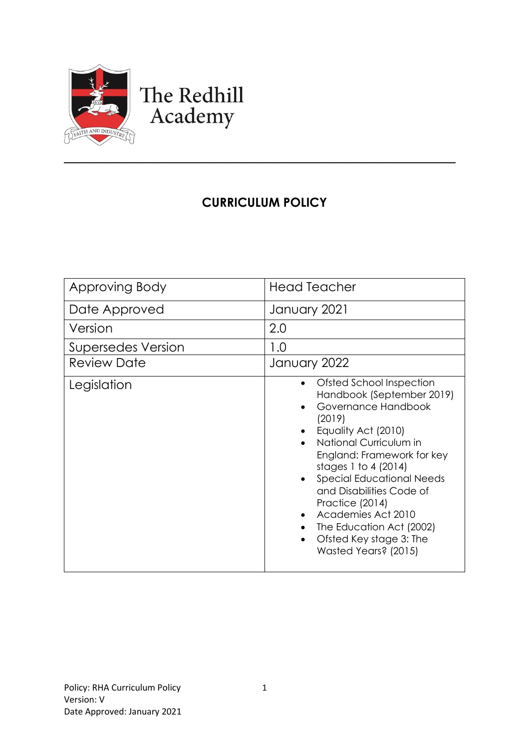

# The Redhill Academy

# **CURRICULUM POLICY**

\_\_\_\_\_\_\_\_\_\_\_\_\_\_\_\_\_\_\_\_\_\_\_\_\_\_\_\_\_\_\_\_\_\_\_\_\_\_\_\_\_\_\_\_\_\_\_\_\_\_\_\_\_\_\_\_\_\_\_\_\_\_\_\_\_\_\_\_\_\_\_\_\_\_\_

| Approving Body            | <b>Head Teacher</b>                                                                                                                                                                                                                                                                                                                                                                                     |
|---------------------------|---------------------------------------------------------------------------------------------------------------------------------------------------------------------------------------------------------------------------------------------------------------------------------------------------------------------------------------------------------------------------------------------------------|
| Date Approved             | January 2021                                                                                                                                                                                                                                                                                                                                                                                            |
| Version                   | 2.0                                                                                                                                                                                                                                                                                                                                                                                                     |
| <b>Supersedes Version</b> | 1.0                                                                                                                                                                                                                                                                                                                                                                                                     |
| <b>Review Date</b>        | January 2022                                                                                                                                                                                                                                                                                                                                                                                            |
| Legislation               | Ofsted School Inspection<br>٠<br>Handbook (September 2019)<br>Governance Handbook<br>(2019)<br>Equality Act (2010)<br>National Curriculum in<br>England: Framework for key<br>stages 1 to 4 (2014)<br><b>Special Educational Needs</b><br>$\bullet$<br>and Disabilities Code of<br>Practice (2014)<br>Academies Act 2010<br>The Education Act (2002)<br>Ofsted Key stage 3: The<br>Wasted Years? (2015) |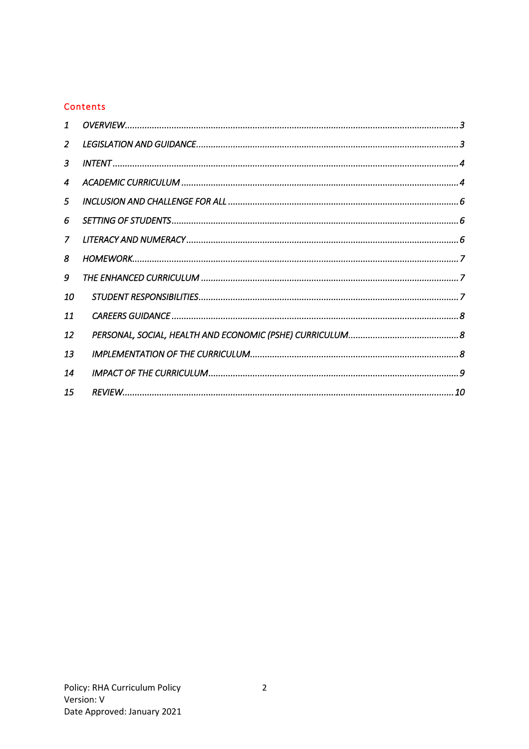# Contents

| $\mathbf{1}$   |  |
|----------------|--|
| $\overline{2}$ |  |
| 3              |  |
| 4              |  |
| 5              |  |
| 6              |  |
| $\mathcal{I}$  |  |
| 8              |  |
| 9              |  |
| 10             |  |
| 11             |  |
| 12             |  |
| 13             |  |
| 14             |  |
| 15             |  |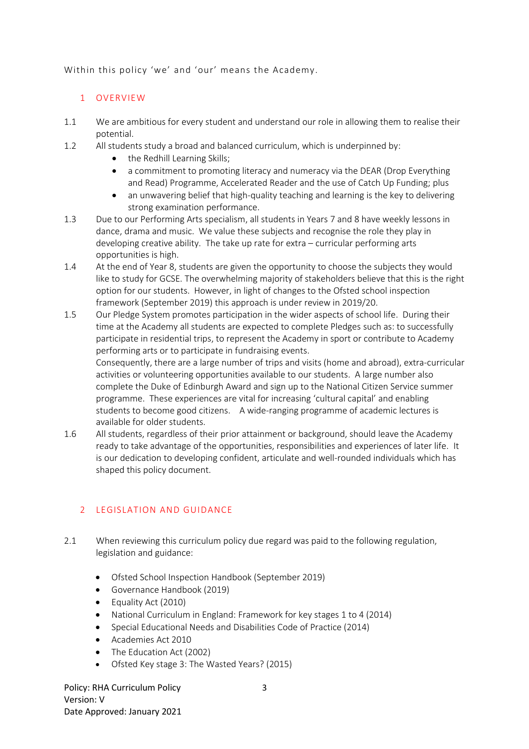<span id="page-2-0"></span>Within this policy 'we' and 'our' means the Academy.

#### 1 OVERVIEW

- 1.1 We are ambitious for every student and understand our role in allowing them to realise their potential.
- 1.2 All students study a broad and balanced curriculum, which is underpinned by:
	- the Redhill Learning Skills;
	- a commitment to promoting literacy and numeracy via the DEAR (Drop Everything and Read) Programme, Accelerated Reader and the use of Catch Up Funding; plus
	- an unwavering belief that high-quality teaching and learning is the key to delivering strong examination performance.
- 1.3 Due to our Performing Arts specialism, all students in Years 7 and 8 have weekly lessons in dance, drama and music. We value these subjects and recognise the role they play in developing creative ability. The take up rate for extra – curricular performing arts opportunities is high.
- 1.4 At the end of Year 8, students are given the opportunity to choose the subjects they would like to study for GCSE. The overwhelming majority of stakeholders believe that this is the right option for our students. However, in light of changes to the Ofsted school inspection framework (September 2019) this approach is under review in 2019/20.
- 1.5 Our Pledge System promotes participation in the wider aspects of school life. During their time at the Academy all students are expected to complete Pledges such as: to successfully participate in residential trips, to represent the Academy in sport or contribute to Academy performing arts or to participate in fundraising events.

Consequently, there are a large number of trips and visits (home and abroad), extra-curricular activities or volunteering opportunities available to our students. A large number also complete the Duke of Edinburgh Award and sign up to the National Citizen Service summer programme. These experiences are vital for increasing 'cultural capital' and enabling students to become good citizens. A wide-ranging programme of academic lectures is available for older students.

1.6 All students, regardless of their prior attainment or background, should leave the Academy ready to take advantage of the opportunities, responsibilities and experiences of later life. It is our dedication to developing confident, articulate and well-rounded individuals which has shaped this policy document.

# <span id="page-2-1"></span>2 LEGISLATION AND GUIDANCE

- 2.1 When reviewing this curriculum policy due regard was paid to the following regulation, legislation and guidance:
	- Ofsted School Inspection Handbook (September 2019)
	- Governance Handbook (2019)
	- Equality Act (2010)
	- National Curriculum in England: Framework for key stages 1 to 4 (2014)
	- Special Educational Needs and Disabilities Code of Practice (2014)
	- Academies Act 2010
	- The Education Act (2002)
	- Ofsted Key stage 3: The Wasted Years? (2015)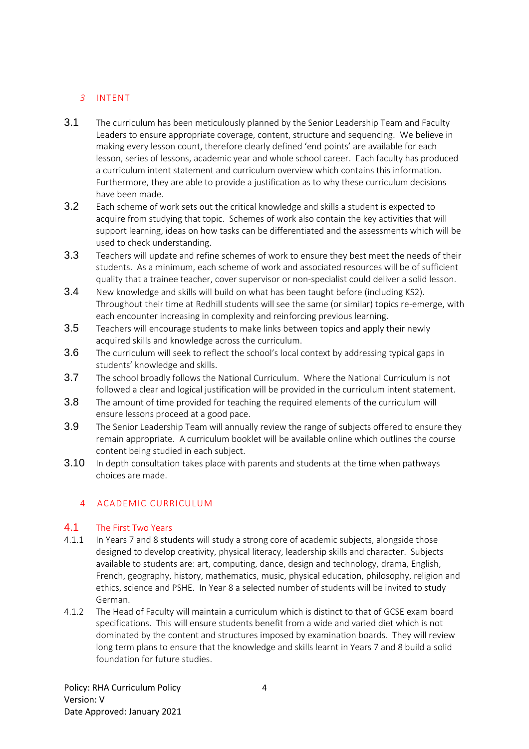# <span id="page-3-0"></span>*3* INTENT

- 3.1 The curriculum has been meticulously planned by the Senior Leadership Team and Faculty Leaders to ensure appropriate coverage, content, structure and sequencing. We believe in making every lesson count, therefore clearly defined 'end points' are available for each lesson, series of lessons, academic year and whole school career. Each faculty has produced a curriculum intent statement and curriculum overview which contains this information. Furthermore, they are able to provide a justification as to why these curriculum decisions have been made.
- 3.2 Each scheme of work sets out the critical knowledge and skills a student is expected to acquire from studying that topic. Schemes of work also contain the key activities that will support learning, ideas on how tasks can be differentiated and the assessments which will be used to check understanding.
- 3.3 Teachers will update and refine schemes of work to ensure they best meet the needs of their students. As a minimum, each scheme of work and associated resources will be of sufficient quality that a trainee teacher, cover supervisor or non-specialist could deliver a solid lesson.
- 3.4 New knowledge and skills will build on what has been taught before (including KS2). Throughout their time at Redhill students will see the same (or similar) topics re-emerge, with each encounter increasing in complexity and reinforcing previous learning.
- 3.5 Teachers will encourage students to make links between topics and apply their newly acquired skills and knowledge across the curriculum.
- 3.6 The curriculum will seek to reflect the school's local context by addressing typical gaps in students' knowledge and skills.
- 3.7 The school broadly follows the National Curriculum. Where the National Curriculum is not followed a clear and logical justification will be provided in the curriculum intent statement.
- 3.8 The amount of time provided for teaching the required elements of the curriculum will ensure lessons proceed at a good pace.
- 3.9 The Senior Leadership Team will annually review the range of subjects offered to ensure they remain appropriate. A curriculum booklet will be available online which outlines the course content being studied in each subject.
- 3.10 In depth consultation takes place with parents and students at the time when pathways choices are made.

#### <span id="page-3-1"></span>4 ACADEMIC CURRICULUM

#### 4.1 The First Two Years

- 4.1.1 In Years 7 and 8 students will study a strong core of academic subjects, alongside those designed to develop creativity, physical literacy, leadership skills and character. Subjects available to students are: art, computing, dance, design and technology, drama, English, French, geography, history, mathematics, music, physical education, philosophy, religion and ethics, science and PSHE. In Year 8 a selected number of students will be invited to study German.
- 4.1.2 The Head of Faculty will maintain a curriculum which is distinct to that of GCSE exam board specifications. This will ensure students benefit from a wide and varied diet which is not dominated by the content and structures imposed by examination boards. They will review long term plans to ensure that the knowledge and skills learnt in Years 7 and 8 build a solid foundation for future studies.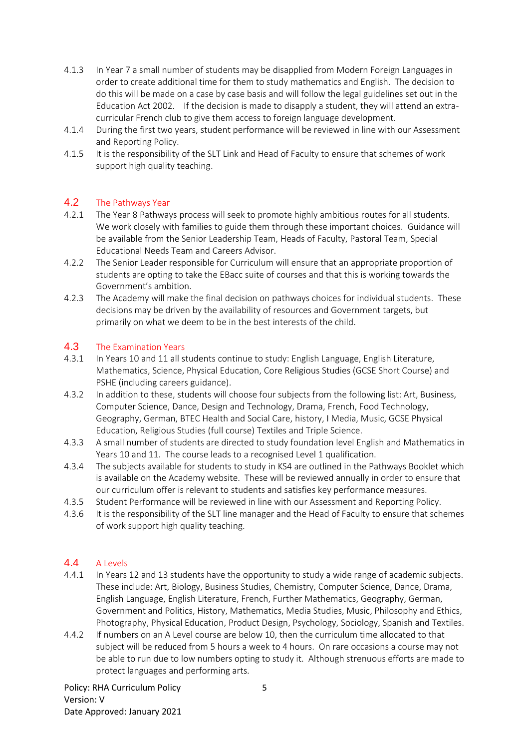- 4.1.3 In Year 7 a small number of students may be disapplied from Modern Foreign Languages in order to create additional time for them to study mathematics and English. The decision to do this will be made on a case by case basis and will follow the legal guidelines set out in the Education Act 2002. If the decision is made to disapply a student, they will attend an extracurricular French club to give them access to foreign language development.
- 4.1.4 During the first two years, student performance will be reviewed in line with our Assessment and Reporting Policy.
- 4.1.5 It is the responsibility of the SLT Link and Head of Faculty to ensure that schemes of work support high quality teaching.

#### 4.2 The Pathways Year

- 4.2.1 The Year 8 Pathways process will seek to promote highly ambitious routes for all students. We work closely with families to guide them through these important choices. Guidance will be available from the Senior Leadership Team, Heads of Faculty, Pastoral Team, Special Educational Needs Team and Careers Advisor.
- 4.2.2 The Senior Leader responsible for Curriculum will ensure that an appropriate proportion of students are opting to take the EBacc suite of courses and that this is working towards the Government's ambition.
- 4.2.3 The Academy will make the final decision on pathways choices for individual students. These decisions may be driven by the availability of resources and Government targets, but primarily on what we deem to be in the best interests of the child.

#### 4.3 The Examination Years

- 4.3.1 In Years 10 and 11 all students continue to study: English Language, English Literature, Mathematics, Science, Physical Education, Core Religious Studies (GCSE Short Course) and PSHE (including careers guidance).
- 4.3.2 In addition to these, students will choose four subjects from the following list: Art, Business, Computer Science, Dance, Design and Technology, Drama, French, Food Technology, Geography, German, BTEC Health and Social Care, history, I Media, Music, GCSE Physical Education, Religious Studies (full course) Textiles and Triple Science.
- 4.3.3 A small number of students are directed to study foundation level English and Mathematics in Years 10 and 11. The course leads to a recognised Level 1 qualification.
- 4.3.4 The subjects available for students to study in KS4 are outlined in the Pathways Booklet which is available on the Academy website. These will be reviewed annually in order to ensure that our curriculum offer is relevant to students and satisfies key performance measures.
- 4.3.5 Student Performance will be reviewed in line with our Assessment and Reporting Policy.
- 4.3.6 It is the responsibility of the SLT line manager and the Head of Faculty to ensure that schemes of work support high quality teaching.

# 4.4 A Levels

- 4.4.1 In Years 12 and 13 students have the opportunity to study a wide range of academic subjects. These include: Art, Biology, Business Studies, Chemistry, Computer Science, Dance, Drama, English Language, English Literature, French, Further Mathematics, Geography, German, Government and Politics, History, Mathematics, Media Studies, Music, Philosophy and Ethics, Photography, Physical Education, Product Design, Psychology, Sociology, Spanish and Textiles.
- 4.4.2 If numbers on an A Level course are below 10, then the curriculum time allocated to that subject will be reduced from 5 hours a week to 4 hours. On rare occasions a course may not be able to run due to low numbers opting to study it. Although strenuous efforts are made to protect languages and performing arts.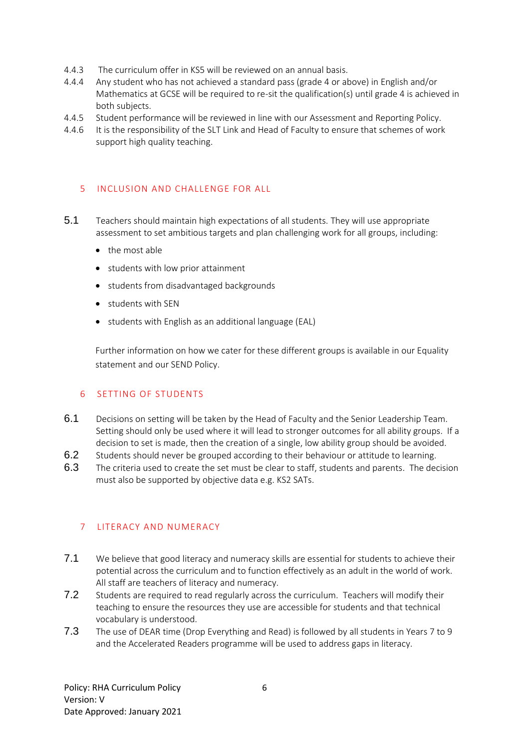- 4.4.3 The curriculum offer in KS5 will be reviewed on an annual basis.
- 4.4.4 Any student who has not achieved a standard pass (grade 4 or above) in English and/or Mathematics at GCSE will be required to re-sit the qualification(s) until grade 4 is achieved in both subjects.
- 4.4.5 Student performance will be reviewed in line with our Assessment and Reporting Policy.
- 4.4.6 It is the responsibility of the SLT Link and Head of Faculty to ensure that schemes of work support high quality teaching.

# <span id="page-5-0"></span>5 INCLUSION AND CHALLENGE FOR ALL

- 5.1 Teachers should maintain high expectations of all students. They will use appropriate assessment to set ambitious targets and plan challenging work for all groups, including:
	- the most able
	- students with low prior attainment
	- students from disadvantaged backgrounds
	- students with SEN
	- students with English as an additional language (EAL)

Further information on how we cater for these different groups is available in our Equality statement and our SEND Policy.

#### <span id="page-5-1"></span>6 SETTING OF STUDENTS

- 6.1 Decisions on setting will be taken by the Head of Faculty and the Senior Leadership Team. Setting should only be used where it will lead to stronger outcomes for all ability groups. If a decision to set is made, then the creation of a single, low ability group should be avoided.
- 6.2 Students should never be grouped according to their behaviour or attitude to learning.
- 6.3 The criteria used to create the set must be clear to staff, students and parents. The decision must also be supported by objective data e.g. KS2 SATs.

# <span id="page-5-2"></span>7 LITERACY AND NUMERACY

- 7.1 We believe that good literacy and numeracy skills are essential for students to achieve their potential across the curriculum and to function effectively as an adult in the world of work. All staff are teachers of literacy and numeracy.
- 7.2 Students are required to read regularly across the curriculum. Teachers will modify their teaching to ensure the resources they use are accessible for students and that technical vocabulary is understood.
- 7.3 The use of DEAR time (Drop Everything and Read) is followed by all students in Years 7 to 9 and the Accelerated Readers programme will be used to address gaps in literacy.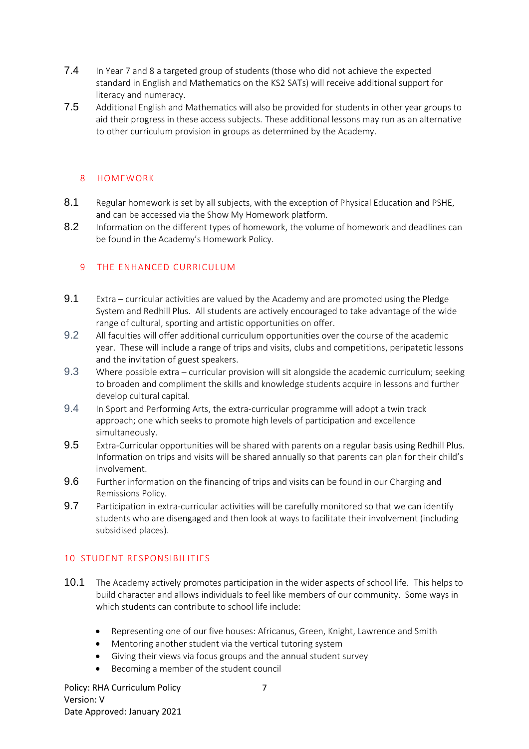- 7.4 In Year 7 and 8 a targeted group of students (those who did not achieve the expected standard in English and Mathematics on the KS2 SATs) will receive additional support for literacy and numeracy.
- 7.5 Additional English and Mathematics will also be provided for students in other year groups to aid their progress in these access subjects. These additional lessons may run as an alternative to other curriculum provision in groups as determined by the Academy.

#### <span id="page-6-0"></span>8 HOMEWORK

- 8.1 Regular homework is set by all subjects, with the exception of Physical Education and PSHE, and can be accessed via the Show My Homework platform.
- 8.2 Information on the different types of homework, the volume of homework and deadlines can be found in the Academy's Homework Policy.

#### <span id="page-6-1"></span>9 THE ENHANCED CURRICULUM

- 9.1 Extra curricular activities are valued by the Academy and are promoted using the Pledge System and Redhill Plus. All students are actively encouraged to take advantage of the wide range of cultural, sporting and artistic opportunities on offer.
- 9.2 All faculties will offer additional curriculum opportunities over the course of the academic year. These will include a range of trips and visits, clubs and competitions, peripatetic lessons and the invitation of guest speakers.
- 9.3 Where possible extra curricular provision will sit alongside the academic curriculum; seeking to broaden and compliment the skills and knowledge students acquire in lessons and further develop cultural capital.
- 9.4 In Sport and Performing Arts, the extra-curricular programme will adopt a twin track approach; one which seeks to promote high levels of participation and excellence simultaneously.
- 9.5 Extra-Curricular opportunities will be shared with parents on a regular basis using Redhill Plus. Information on trips and visits will be shared annually so that parents can plan for their child's involvement.
- 9.6 Further information on the financing of trips and visits can be found in our Charging and Remissions Policy.
- 9.7 Participation in extra-curricular activities will be carefully monitored so that we can identify students who are disengaged and then look at ways to facilitate their involvement (including subsidised places).

#### <span id="page-6-2"></span>10 STUDENT RESPONSIBILITIES

- 10.1 The Academy actively promotes participation in the wider aspects of school life. This helps to build character and allows individuals to feel like members of our community. Some ways in which students can contribute to school life include:
	- Representing one of our five houses: Africanus, Green, Knight, Lawrence and Smith
	- Mentoring another student via the vertical tutoring system
	- Giving their views via focus groups and the annual student survey
	- Becoming a member of the student council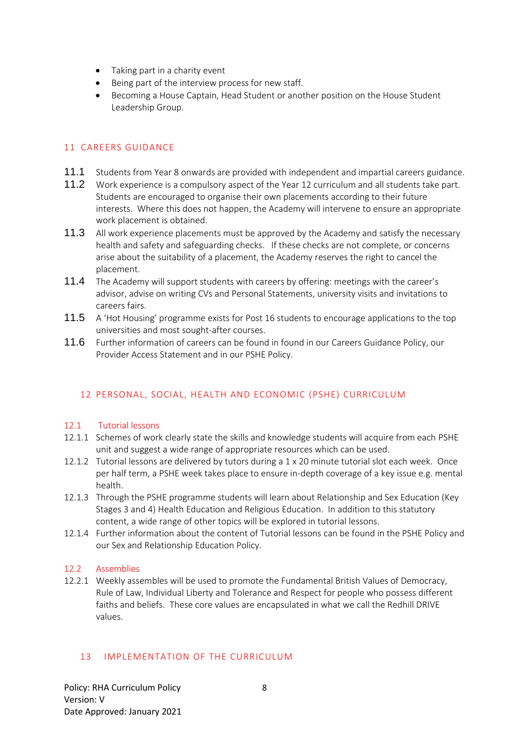- Taking part in a charity event
- Being part of the interview process for new staff.
- Becoming a House Captain, Head Student or another position on the House Student Leadership Group.

# <span id="page-7-0"></span>11 CAREERS GUIDANCE

- 11.1 Students from Year 8 onwards are provided with independent and impartial careers guidance.
- 11.2 Work experience is a compulsory aspect of the Year 12 curriculum and all students take part. Students are encouraged to organise their own placements according to their future interests. Where this does not happen, the Academy will intervene to ensure an appropriate work placement is obtained.
- 11.3 All work experience placements must be approved by the Academy and satisfy the necessary health and safety and safeguarding checks. If these checks are not complete, or concerns arise about the suitability of a placement, the Academy reserves the right to cancel the placement.
- 11.4 The Academy will support students with careers by offering: meetings with the career's advisor, advise on writing CVs and Personal Statements, university visits and invitations to careers fairs.
- 11.5 A 'Hot Housing' programme exists for Post 16 students to encourage applications to the top universities and most sought-after courses.
- 11.6 Further information of careers can be found in found in our Careers Guidance Policy, our Provider Access Statement and in our PSHE Policy.

# <span id="page-7-1"></span>12 PERSONAL, SOCIAL, HEALTH AND ECONOMIC (PSHE) CURRICULUM

#### 12.1 Tutorial lessons

- 12.1.1 Schemes of work clearly state the skills and knowledge students will acquire from each PSHE unit and suggest a wide range of appropriate resources which can be used.
- 12.1.2 Tutorial lessons are delivered by tutors during a 1 x 20 minute tutorial slot each week. Once per half term, a PSHE week takes place to ensure in-depth coverage of a key issue e.g. mental health.
- 12.1.3 Through the PSHE programme students will learn about Relationship and Sex Education (Key Stages 3 and 4) Health Education and Religious Education. In addition to this statutory content, a wide range of other topics will be explored in tutorial lessons.
- 12.1.4 Further information about the content of Tutorial lessons can be found in the PSHE Policy and our Sex and Relationship Education Policy.

#### 12.2 Assemblies

12.2.1 Weekly assembles will be used to promote the Fundamental British Values of Democracy, Rule of Law, Individual Liberty and Tolerance and Respect for people who possess different faiths and beliefs. These core values are encapsulated in what we call the Redhill DRIVE values.

#### <span id="page-7-2"></span>13 IMPLEMENTATION OF THE CURRICULUM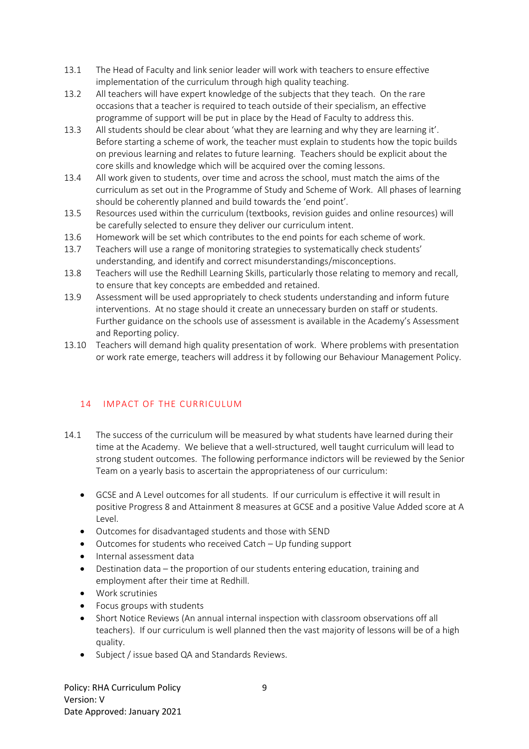- 13.1 The Head of Faculty and link senior leader will work with teachers to ensure effective implementation of the curriculum through high quality teaching.
- 13.2 All teachers will have expert knowledge of the subjects that they teach. On the rare occasions that a teacher is required to teach outside of their specialism, an effective programme of support will be put in place by the Head of Faculty to address this.
- 13.3 All students should be clear about 'what they are learning and why they are learning it'. Before starting a scheme of work, the teacher must explain to students how the topic builds on previous learning and relates to future learning. Teachers should be explicit about the core skills and knowledge which will be acquired over the coming lessons.
- 13.4 All work given to students, over time and across the school, must match the aims of the curriculum as set out in the Programme of Study and Scheme of Work. All phases of learning should be coherently planned and build towards the 'end point'.
- 13.5 Resources used within the curriculum (textbooks, revision guides and online resources) will be carefully selected to ensure they deliver our curriculum intent.
- 13.6 Homework will be set which contributes to the end points for each scheme of work.
- 13.7 Teachers will use a range of monitoring strategies to systematically check students' understanding, and identify and correct misunderstandings/misconceptions.
- 13.8 Teachers will use the Redhill Learning Skills, particularly those relating to memory and recall, to ensure that key concepts are embedded and retained.
- 13.9 Assessment will be used appropriately to check students understanding and inform future interventions. At no stage should it create an unnecessary burden on staff or students. Further guidance on the schools use of assessment is available in the Academy's Assessment and Reporting policy.
- 13.10 Teachers will demand high quality presentation of work. Where problems with presentation or work rate emerge, teachers will address it by following our Behaviour Management Policy.

# <span id="page-8-0"></span>14 IMPACT OF THE CURRICULUM

- 14.1 The success of the curriculum will be measured by what students have learned during their time at the Academy. We believe that a well-structured, well taught curriculum will lead to strong student outcomes. The following performance indictors will be reviewed by the Senior Team on a yearly basis to ascertain the appropriateness of our curriculum:
	- GCSE and A Level outcomes for all students. If our curriculum is effective it will result in positive Progress 8 and Attainment 8 measures at GCSE and a positive Value Added score at A Level.
	- Outcomes for disadvantaged students and those with SEND
	- Outcomes for students who received Catch Up funding support
	- Internal assessment data
	- Destination data the proportion of our students entering education, training and employment after their time at Redhill.
	- Work scrutinies
	- Focus groups with students
	- Short Notice Reviews (An annual internal inspection with classroom observations off all teachers). If our curriculum is well planned then the vast majority of lessons will be of a high quality.
	- Subject / issue based QA and Standards Reviews.